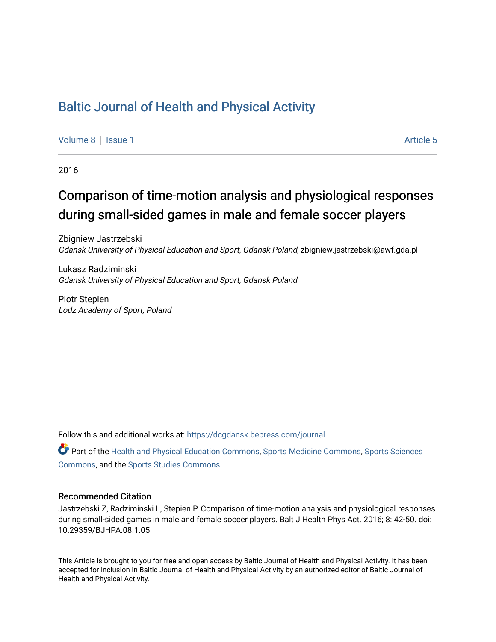## [Baltic Journal of Health and Physical Activity](https://dcgdansk.bepress.com/journal)

[Volume 8](https://dcgdansk.bepress.com/journal/vol8) | [Issue 1](https://dcgdansk.bepress.com/journal/vol8/iss1) Article 5

2016

## Comparison of time-motion analysis and physiological responses during small-sided games in male and female soccer players

Zbigniew Jastrzebski Gdansk University of Physical Education and Sport, Gdansk Poland, zbigniew.jastrzebski@awf.gda.pl

Lukasz Radziminski Gdansk University of Physical Education and Sport, Gdansk Poland

Piotr Stepien Lodz Academy of Sport, Poland

Follow this and additional works at: [https://dcgdansk.bepress.com/journal](https://dcgdansk.bepress.com/journal?utm_source=dcgdansk.bepress.com%2Fjournal%2Fvol8%2Fiss1%2F5&utm_medium=PDF&utm_campaign=PDFCoverPages)

Part of the [Health and Physical Education Commons](http://network.bepress.com/hgg/discipline/1327?utm_source=dcgdansk.bepress.com%2Fjournal%2Fvol8%2Fiss1%2F5&utm_medium=PDF&utm_campaign=PDFCoverPages), [Sports Medicine Commons,](http://network.bepress.com/hgg/discipline/1331?utm_source=dcgdansk.bepress.com%2Fjournal%2Fvol8%2Fiss1%2F5&utm_medium=PDF&utm_campaign=PDFCoverPages) [Sports Sciences](http://network.bepress.com/hgg/discipline/759?utm_source=dcgdansk.bepress.com%2Fjournal%2Fvol8%2Fiss1%2F5&utm_medium=PDF&utm_campaign=PDFCoverPages) [Commons](http://network.bepress.com/hgg/discipline/759?utm_source=dcgdansk.bepress.com%2Fjournal%2Fvol8%2Fiss1%2F5&utm_medium=PDF&utm_campaign=PDFCoverPages), and the [Sports Studies Commons](http://network.bepress.com/hgg/discipline/1198?utm_source=dcgdansk.bepress.com%2Fjournal%2Fvol8%2Fiss1%2F5&utm_medium=PDF&utm_campaign=PDFCoverPages) 

#### Recommended Citation

Jastrzebski Z, Radziminski L, Stepien P. Comparison of time-motion analysis and physiological responses during small-sided games in male and female soccer players. Balt J Health Phys Act. 2016; 8: 42-50. doi: 10.29359/BJHPA.08.1.05

This Article is brought to you for free and open access by Baltic Journal of Health and Physical Activity. It has been accepted for inclusion in Baltic Journal of Health and Physical Activity by an authorized editor of Baltic Journal of Health and Physical Activity.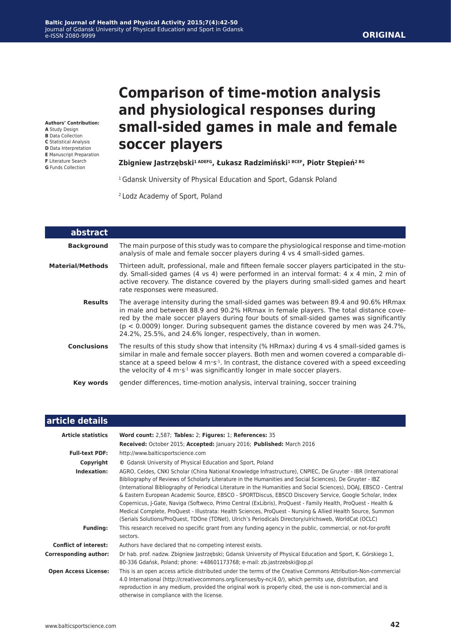### **ORIGINAL**

**Authors' Contribution: A** Study Design

- **B** Data Collection
- **C** Statistical Analysis
- **D** Data Interpretation
- **E** Manuscript Preparation
- **F** Literature Search
- **G** Funds Collection

# **Comparison of time-motion analysis and physiological responses during small-sided games in male and female soccer players**

#### **Zbigniew Jastrzębski1 ADEFG, Łukasz Radzimiński1 BCEF, Piotr Stępień2 BG**

<sup>1</sup> Gdansk University of Physical Education and Sport, Gdansk Poland

2 Lodz Academy of Sport, Poland

| abstract           |                                                                                                                                                                                                                                                                                                                                                                                                                                 |
|--------------------|---------------------------------------------------------------------------------------------------------------------------------------------------------------------------------------------------------------------------------------------------------------------------------------------------------------------------------------------------------------------------------------------------------------------------------|
| <b>Background</b>  | The main purpose of this study was to compare the physiological response and time-motion<br>analysis of male and female soccer players during 4 vs 4 small-sided games.                                                                                                                                                                                                                                                         |
| Material/Methods   | Thirteen adult, professional, male and fifteen female soccer players participated in the stu-<br>dy. Small-sided games (4 vs 4) were performed in an interval format: 4 x 4 min, 2 min of<br>active recovery. The distance covered by the players during small-sided games and heart<br>rate responses were measured.                                                                                                           |
| <b>Results</b>     | The average intensity during the small-sided games was between 89.4 and 90.6% HRmax<br>in male and between 88.9 and 90.2% HRmax in female players. The total distance cove-<br>red by the male soccer players during four bouts of small-sided games was significantly<br>$(p < 0.0009)$ longer. During subsequent games the distance covered by men was 24.7%,<br>24.2%, 25.5%, and 24.6% longer, respectively, than in women. |
| <b>Conclusions</b> | The results of this study show that intensity (% HRmax) during 4 vs 4 small-sided games is<br>similar in male and female soccer players. Both men and women covered a comparable di-<br>stance at a speed below 4 $m \cdot s^{-1}$ . In contrast, the distance covered with a speed exceeding<br>the velocity of 4 m·s <sup>-1</sup> was significantly longer in male soccer players.                                           |
| <b>Key words</b>   | gender differences, time-motion analysis, interval training, soccer training                                                                                                                                                                                                                                                                                                                                                    |

| article details              |                                                                                                                                                                                                                                                                                                                                                                                                                                                                                                                                                                                                                                                                                                                                                                                                      |  |  |  |  |
|------------------------------|------------------------------------------------------------------------------------------------------------------------------------------------------------------------------------------------------------------------------------------------------------------------------------------------------------------------------------------------------------------------------------------------------------------------------------------------------------------------------------------------------------------------------------------------------------------------------------------------------------------------------------------------------------------------------------------------------------------------------------------------------------------------------------------------------|--|--|--|--|
| <b>Article statistics</b>    | Word count: 2,587; Tables: 2; Figures: 1; References: 35<br>Received: October 2015; Accepted: January 2016; Published: March 2016                                                                                                                                                                                                                                                                                                                                                                                                                                                                                                                                                                                                                                                                    |  |  |  |  |
| <b>Full-text PDF:</b>        | http://www.balticsportscience.com                                                                                                                                                                                                                                                                                                                                                                                                                                                                                                                                                                                                                                                                                                                                                                    |  |  |  |  |
| Copyright                    | © Gdansk University of Physical Education and Sport, Poland                                                                                                                                                                                                                                                                                                                                                                                                                                                                                                                                                                                                                                                                                                                                          |  |  |  |  |
| Indexation:                  | AGRO, Celdes, CNKI Scholar (China National Knowledge Infrastructure), CNPIEC, De Gruyter - IBR (International<br>Bibliography of Reviews of Scholarly Literature in the Humanities and Social Sciences), De Gruyter - IBZ<br>(International Bibliography of Periodical Literature in the Humanities and Social Sciences), DOAJ, EBSCO - Central<br>& Eastern European Academic Source, EBSCO - SPORTDiscus, EBSCO Discovery Service, Google Scholar, Index<br>Copernicus, J-Gate, Naviga (Softweco, Primo Central (ExLibris), ProQuest - Family Health, ProQuest - Health &<br>Medical Complete, ProQuest - Illustrata: Health Sciences, ProQuest - Nursing & Allied Health Source, Summon<br>(Serials Solutions/ProQuest, TDOne (TDNet), Ulrich's Periodicals Directory/ulrichsweb, WorldCat (OCLC) |  |  |  |  |
| <b>Funding:</b>              | This research received no specific grant from any funding agency in the public, commercial, or not-for-profit<br>sectors.                                                                                                                                                                                                                                                                                                                                                                                                                                                                                                                                                                                                                                                                            |  |  |  |  |
| <b>Conflict of interest:</b> | Authors have declared that no competing interest exists.                                                                                                                                                                                                                                                                                                                                                                                                                                                                                                                                                                                                                                                                                                                                             |  |  |  |  |
| <b>Corresponding author:</b> | Dr hab. prof. nadzw. Zbigniew Jastrzębski; Gdansk University of Physical Education and Sport, K. Górskiego 1,<br>80-336 Gdańsk, Poland; phone: +48601173768; e-mail: zb.jastrzebski@op.pl                                                                                                                                                                                                                                                                                                                                                                                                                                                                                                                                                                                                            |  |  |  |  |
| <b>Open Access License:</b>  | This is an open access article distributed under the terms of the Creative Commons Attribution-Non-commercial<br>4.0 International (http://creativecommons.org/licenses/by-nc/4.0/), which permits use, distribution, and<br>reproduction in any medium, provided the original work is properly cited, the use is non-commercial and is<br>otherwise in compliance with the license.                                                                                                                                                                                                                                                                                                                                                                                                                 |  |  |  |  |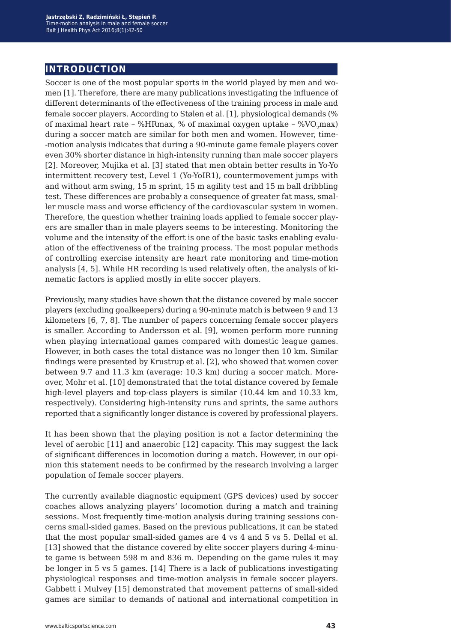## **introduction**

Soccer is one of the most popular sports in the world played by men and women [1]. Therefore, there are many publications investigating the influence of different determinants of the effectiveness of the training process in male and female soccer players. According to Stølen et al. [1], physiological demands (% of maximal heart rate – %HRmax, % of maximal oxygen uptake – % $VO<sub>2</sub>$ max) during a soccer match are similar for both men and women. However, time- -motion analysis indicates that during a 90-minute game female players cover even 30% shorter distance in high-intensity running than male soccer players [2]. Moreover, Mujika et al. [3] stated that men obtain better results in Yo-Yo intermittent recovery test, Level 1 (Yo-YoIR1), countermovement jumps with and without arm swing, 15 m sprint, 15 m agility test and 15 m ball dribbling test. These differences are probably a consequence of greater fat mass, smaller muscle mass and worse efficiency of the cardiovascular system in women. Therefore, the question whether training loads applied to female soccer players are smaller than in male players seems to be interesting. Monitoring the volume and the intensity of the effort is one of the basic tasks enabling evaluation of the effectiveness of the training process. The most popular methods of controlling exercise intensity are heart rate monitoring and time-motion analysis [4, 5]. While HR recording is used relatively often, the analysis of kinematic factors is applied mostly in elite soccer players.

Previously, many studies have shown that the distance covered by male soccer players (excluding goalkeepers) during a 90-minute match is between 9 and 13 kilometers [6, 7, 8]. The number of papers concerning female soccer players is smaller. According to Andersson et al. [9], women perform more running when playing international games compared with domestic league games. However, in both cases the total distance was no longer then 10 km. Similar findings were presented by Krustrup et al. [2], who showed that women cover between 9.7 and 11.3 km (average: 10.3 km) during a soccer match. Moreover, Mohr et al. [10] demonstrated that the total distance covered by female high-level players and top-class players is similar (10.44 km and 10.33 km, respectively). Considering high-intensity runs and sprints, the same authors reported that a significantly longer distance is covered by professional players.

It has been shown that the playing position is not a factor determining the level of aerobic [11] and anaerobic [12] capacity. This may suggest the lack of significant differences in locomotion during a match. However, in our opinion this statement needs to be confirmed by the research involving a larger population of female soccer players.

The currently available diagnostic equipment (GPS devices) used by soccer coaches allows analyzing players' locomotion during a match and training sessions. Most frequently time-motion analysis during training sessions concerns small-sided games. Based on the previous publications, it can be stated that the most popular small-sided games are 4 vs 4 and 5 vs 5. Dellal et al. [13] showed that the distance covered by elite soccer players during 4-minute game is between 598 m and 836 m. Depending on the game rules it may be longer in 5 vs 5 games. [14] There is a lack of publications investigating physiological responses and time-motion analysis in female soccer players. Gabbett i Mulvey [15] demonstrated that movement patterns of small-sided games are similar to demands of national and international competition in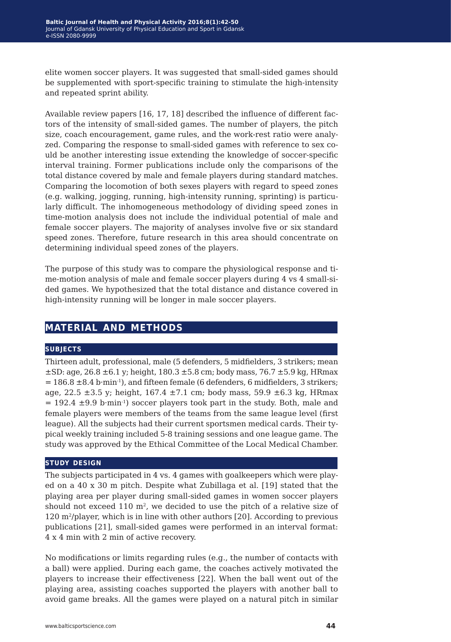elite women soccer players. It was suggested that small-sided games should be supplemented with sport-specific training to stimulate the high-intensity and repeated sprint ability.

Available review papers [16, 17, 18] described the influence of different factors of the intensity of small-sided games. The number of players, the pitch size, coach encouragement, game rules, and the work-rest ratio were analyzed. Comparing the response to small-sided games with reference to sex could be another interesting issue extending the knowledge of soccer-specific interval training. Former publications include only the comparisons of the total distance covered by male and female players during standard matches. Comparing the locomotion of both sexes players with regard to speed zones (e.g. walking, jogging, running, high-intensity running, sprinting) is particularly difficult. The inhomogeneous methodology of dividing speed zones in time-motion analysis does not include the individual potential of male and female soccer players. The majority of analyses involve five or six standard speed zones. Therefore, future research in this area should concentrate on determining individual speed zones of the players.

The purpose of this study was to compare the physiological response and time-motion analysis of male and female soccer players during 4 vs 4 small-sided games. We hypothesized that the total distance and distance covered in high-intensity running will be longer in male soccer players.

## **material and methods**

#### **subjects**

Thirteen adult, professional, male (5 defenders, 5 midfielders, 3 strikers; mean  $\pm$ SD: age, 26.8  $\pm$ 6.1 y; height, 180.3  $\pm$ 5.8 cm; body mass, 76.7  $\pm$ 5.9 kg, HRmax  $= 186.8 \pm 8.4$  b·min<sup>-1</sup>), and fifteen female (6 defenders, 6 midfielders, 3 strikers; age, 22.5  $\pm$ 3.5 y; height, 167.4  $\pm$ 7.1 cm; body mass, 59.9  $\pm$ 6.3 kg, HRmax  $= 192.4 \pm 9.9$  b·min<sup>-1</sup>) soccer players took part in the study. Both, male and female players were members of the teams from the same league level (first league). All the subjects had their current sportsmen medical cards. Their typical weekly training included 5-8 training sessions and one league game. The study was approved by the Ethical Committee of the Local Medical Chamber.

#### **study design**

The subjects participated in 4 vs. 4 games with goalkeepers which were played on a 40 x 30 m pitch. Despite what Zubillaga et al. [19] stated that the playing area per player during small-sided games in women soccer players should not exceed 110  $m<sup>2</sup>$ , we decided to use the pitch of a relative size of 120 m2/player, which is in line with other authors [20]. According to previous publications [21], small-sided games were performed in an interval format: 4 x 4 min with 2 min of active recovery.

No modifications or limits regarding rules (e.g., the number of contacts with a ball) were applied. During each game, the coaches actively motivated the players to increase their effectiveness [22]. When the ball went out of the playing area, assisting coaches supported the players with another ball to avoid game breaks. All the games were played on a natural pitch in similar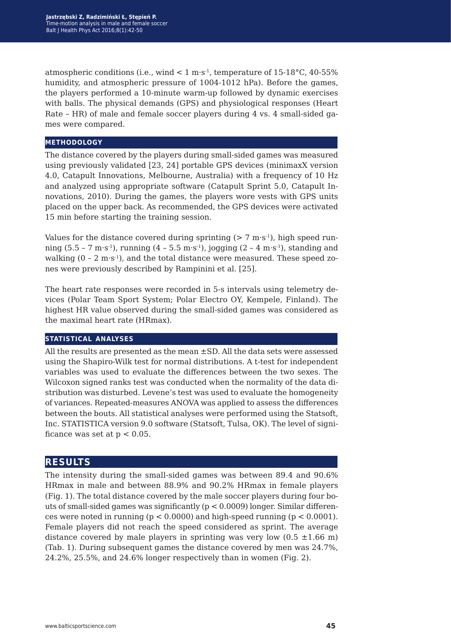atmospheric conditions (i.e., wind  $\lt 1$  m·s<sup>-1</sup>, temperature of 15-18°C, 40-55% humidity, and atmospheric pressure of 1004-1012 hPa). Before the games, the players performed a 10-minute warm-up followed by dynamic exercises with balls. The physical demands (GPS) and physiological responses (Heart Rate – HR) of male and female soccer players during 4 vs. 4 small-sided games were compared.

#### **methodology**

The distance covered by the players during small-sided games was measured using previously validated [23, 24] portable GPS devices (minimaxX version 4.0, Catapult Innovations, Melbourne, Australia) with a frequency of 10 Hz and analyzed using appropriate software (Catapult Sprint 5.0, Catapult Innovations, 2010). During the games, the players wore vests with GPS units placed on the upper back. As recommended, the GPS devices were activated 15 min before starting the training session.

Values for the distance covered during sprinting  $(> 7 \text{ m} \cdot \text{s}^{-1})$ , high speed running  $(5.5 - 7 \text{ m} \cdot \text{s}^{-1})$ , running  $(4 - 5.5 \text{ m} \cdot \text{s}^{-1})$ , jogging  $(2 - 4 \text{ m} \cdot \text{s}^{-1})$ , standing and walking  $(0 - 2 \text{ m} \cdot \text{s}^{-1})$ , and the total distance were measured. These speed zones were previously described by Rampinini et al. [25].

The heart rate responses were recorded in 5-s intervals using telemetry devices (Polar Team Sport System; Polar Electro OY, Kempele, Finland). The highest HR value observed during the small-sided games was considered as the maximal heart rate (HRmax).

#### **statistical analyses**

All the results are presented as the mean ±SD. All the data sets were assessed using the Shapiro-Wilk test for normal distributions. A t-test for independent variables was used to evaluate the differences between the two sexes. The Wilcoxon signed ranks test was conducted when the normality of the data distribution was disturbed. Levene's test was used to evaluate the homogeneity of variances. Repeated-measures ANOVA was applied to assess the differences between the bouts. All statistical analyses were performed using the Statsoft, Inc. STATISTICA version 9.0 software (Statsoft, Tulsa, OK). The level of significance was set at  $p < 0.05$ .

## **results**

The intensity during the small-sided games was between 89.4 and 90.6% HRmax in male and between 88.9% and 90.2% HRmax in female players (Fig. 1). The total distance covered by the male soccer players during four bouts of small-sided games was significantly (p < 0.0009) longer. Similar differences were noted in running ( $p < 0.0000$ ) and high-speed running ( $p < 0.0001$ ). Female players did not reach the speed considered as sprint. The average distance covered by male players in sprinting was very low  $(0.5 \pm 1.66 \text{ m})$ (Tab. 1). During subsequent games the distance covered by men was 24.7%, 24.2%, 25.5%, and 24.6% longer respectively than in women (Fig. 2).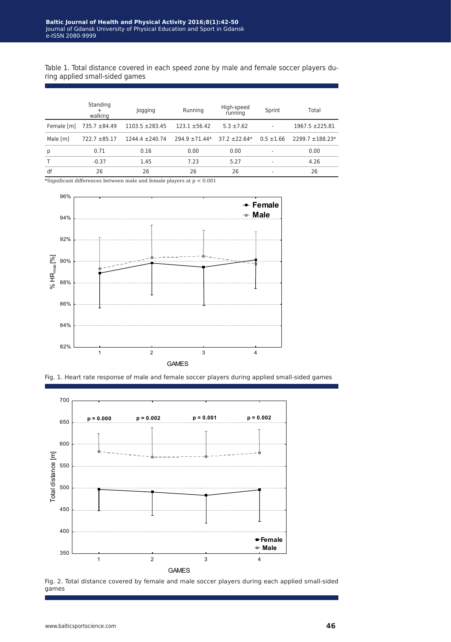Table 1. Total distance covered in each speed zone by male and female soccer players during applied small-sided games

|            | Standing<br>walking | Jogging           | Running            | High-speed<br>running | Sprint         | Total                |
|------------|---------------------|-------------------|--------------------|-----------------------|----------------|----------------------|
| Female [m] | 735.7 ±84.49        | $1103.5 + 283.45$ | $123.1 \pm 56.42$  | $5.3 \pm 7.62$        |                | $1967.5 + 225.81$    |
| Male [m]   | $722.7 \pm 85.17$   | $1244.4 + 240.74$ | $294.9 \pm 71.44*$ | $37.2 + 22.64*$       | $0.5 \pm 1.66$ | $2299.7 \pm 188.23*$ |
| p          | 0.71                | 0.16              | 0.00               | 0.00                  |                | 0.00                 |
|            | $-0.37$             | 1.45              | 7.23               | 5.27                  |                | 4.26                 |
| df         | 26                  | 26                | 26                 | 26                    |                | 26                   |

 $*$ Significant differences between male and female players at  $p < 0.001$ 







Fig. 2. Total distance covered by female and male soccer players during each applied small-sided games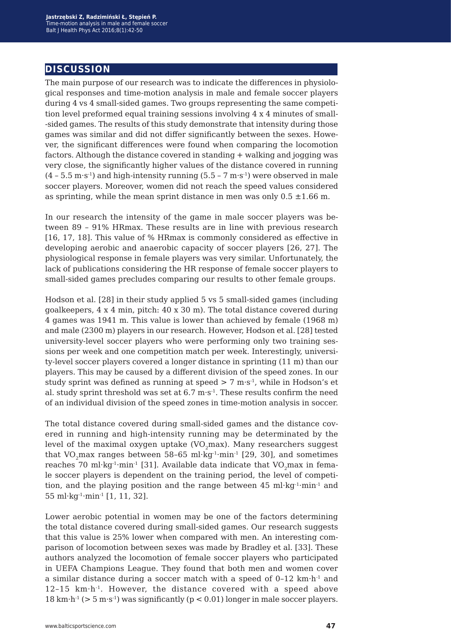## **discussion**

The main purpose of our research was to indicate the differences in physiological responses and time-motion analysis in male and female soccer players during 4 vs 4 small-sided games. Two groups representing the same competition level preformed equal training sessions involving 4 x 4 minutes of small- -sided games. The results of this study demonstrate that intensity during those games was similar and did not differ significantly between the sexes. However, the significant differences were found when comparing the locomotion factors. Although the distance covered in standing + walking and jogging was very close, the significantly higher values of the distance covered in running  $(4 - 5.5 \text{ m} \cdot \text{s}^1)$  and high-intensity running  $(5.5 - 7 \text{ m} \cdot \text{s}^1)$  were observed in male soccer players. Moreover, women did not reach the speed values considered as sprinting, while the mean sprint distance in men was only  $0.5 \pm 1.66$  m.

In our research the intensity of the game in male soccer players was between 89 – 91% HRmax. These results are in line with previous research [16, 17, 18]. This value of % HRmax is commonly considered as effective in developing aerobic and anaerobic capacity of soccer players [26, 27]. The physiological response in female players was very similar. Unfortunately, the lack of publications considering the HR response of female soccer players to small-sided games precludes comparing our results to other female groups.

Hodson et al. [28] in their study applied 5 vs 5 small-sided games (including goalkeepers, 4 x 4 min, pitch: 40 x 30 m). The total distance covered during 4 games was 1941 m. This value is lower than achieved by female (1968 m) and male (2300 m) players in our research. However, Hodson et al. [28] tested university-level soccer players who were performing only two training sessions per week and one competition match per week. Interestingly, university-level soccer players covered a longer distance in sprinting (11 m) than our players. This may be caused by a different division of the speed zones. In our study sprint was defined as running at speed  $> 7 \text{ m} \cdot \text{s}^{-1}$ , while in Hodson's et al. study sprint threshold was set at  $6.7 \text{ m} \cdot \text{s}^{-1}$ . These results confirm the need of an individual division of the speed zones in time-motion analysis in soccer.

The total distance covered during small-sided games and the distance covered in running and high-intensity running may be determinated by the level of the maximal oxygen uptake  $(VO<sub>2</sub>max)$ . Many researchers suggest that VO<sub>2</sub>max ranges between 58-65 ml·kg<sup>-1</sup>·min<sup>-1</sup> [29, 30], and sometimes reaches 70 ml·kg<sup>-1</sup>·min<sup>-1</sup> [31]. Available data indicate that  $VO<sub>2</sub>$ max in female soccer players is dependent on the training period, the level of competition, and the playing position and the range between 45 ml·kg<sup>-1</sup>·min<sup>-1</sup> and 55 ml·kg<sup>-1</sup>·min<sup>-1</sup> [1, 11, 32].

Lower aerobic potential in women may be one of the factors determining the total distance covered during small-sided games. Our research suggests that this value is 25% lower when compared with men. An interesting comparison of locomotion between sexes was made by Bradley et al. [33]. These authors analyzed the locomotion of female soccer players who participated in UEFA Champions League. They found that both men and women cover a similar distance during a soccer match with a speed of 0–12 km·h-1 and 12–15 km·h-1. However, the distance covered with a speed above 18 km·h<sup>-1</sup> ( $> 5$  m·s<sup>-1</sup>) was significantly ( $p < 0.01$ ) longer in male soccer players.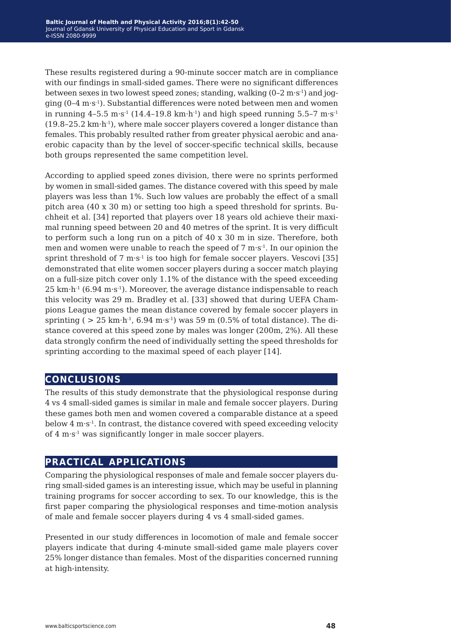These results registered during a 90-minute soccer match are in compliance with our findings in small-sided games. There were no significant differences between sexes in two lowest speed zones; standing, walking  $(0-2 \text{ m} \cdot \text{s}^{-1})$  and jogging (0–4 m·s-1). Substantial differences were noted between men and women in running  $4-5.5 \text{ m}\cdot\text{s}^{-1}$  (14.4-19.8 km $\cdot\text{h}^{-1}$ ) and high speed running 5.5-7 m $\cdot\text{s}^{-1}$  $(19.8-25.2 \text{ km} \cdot \text{h}^{-1})$ , where male soccer players covered a longer distance than females. This probably resulted rather from greater physical aerobic and anaerobic capacity than by the level of soccer-specific technical skills, because both groups represented the same competition level.

According to applied speed zones division, there were no sprints performed by women in small-sided games. The distance covered with this speed by male players was less than 1%. Such low values are probably the effect of a small pitch area (40 x 30 m) or setting too high a speed threshold for sprints. Buchheit et al. [34] reported that players over 18 years old achieve their maximal running speed between 20 and 40 metres of the sprint. It is very difficult to perform such a long run on a pitch of 40 x 30 m in size. Therefore, both men and women were unable to reach the speed of  $7 \text{ m} \cdot \text{s}^{-1}$ . In our opinion the sprint threshold of  $7 \text{ m} \cdot \text{s}^{-1}$  is too high for female soccer players. Vescovi [35] demonstrated that elite women soccer players during a soccer match playing on a full-size pitch cover only 1.1% of the distance with the speed exceeding  $25 \text{ km} \cdot \text{h}^{-1}$  (6.94 m $\cdot$ s<sup>-1</sup>). Moreover, the average distance indispensable to reach this velocity was 29 m. Bradley et al. [33] showed that during UEFA Champions League games the mean distance covered by female soccer players in sprinting ( $> 25$  km·h<sup>-1</sup>, 6.94 m·s<sup>-1</sup>) was 59 m (0.5% of total distance). The distance covered at this speed zone by males was longer (200m, 2%). All these data strongly confirm the need of individually setting the speed thresholds for sprinting according to the maximal speed of each player [14].

## **conclusions**

The results of this study demonstrate that the physiological response during 4 vs 4 small-sided games is similar in male and female soccer players. During these games both men and women covered a comparable distance at a speed below 4 m·s-1. In contrast, the distance covered with speed exceeding velocity of 4 m·s-1 was significantly longer in male soccer players.

## **practical applications**

Comparing the physiological responses of male and female soccer players during small-sided games is an interesting issue, which may be useful in planning training programs for soccer according to sex. To our knowledge, this is the first paper comparing the physiological responses and time-motion analysis of male and female soccer players during 4 vs 4 small-sided games.

Presented in our study differences in locomotion of male and female soccer players indicate that during 4-minute small-sided game male players cover 25% longer distance than females. Most of the disparities concerned running at high-intensity.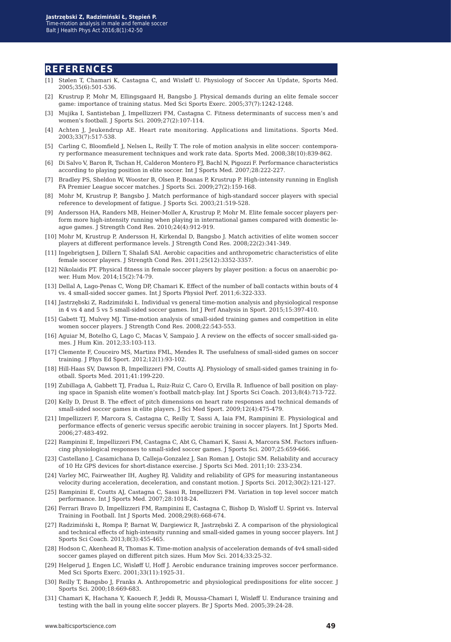#### **references**

- [1] Stølen T, Chamari K, Castagna C, and Wisløff U. Physiology of Soccer An Update, Sports Med. 2005;35(6):501-536.
- [2] Krustrup P, Mohr M, Ellingsgaard H, Bangsbo J. Physical demands during an elite female soccer game: importance of training status. Med Sci Sports Exerc. 2005;37(7):1242-1248.
- [3] Mujika I, Santisteban J, Impellizzeri FM, Castagna C. Fitness determinants of success men's and women's football. J Sports Sci. 2009;27(2):107-114.
- [4] Achten J, Jeukendrup AE. Heart rate monitoring. Applications and limitations. Sports Med. 2003;33(7):517-538.
- [5] Carling C, Bloomfield J, Nelsen L, Reilly T. The role of motion analysis in elite soccer: contemporary performance measurement techniques and work rate data. Sports Med. 2008;38(10):839-862.
- [6] Di Salvo V, Baron R, Tschan H, Calderon Montero FJ, Bachl N, Pigozzi F. Performance characteristics according to playing position in elite soccer. Int J Sports Med. 2007;28:222-227.
- [7] Bradley PS, Sheldon W, Wooster B, Olsen P, Boanas P, Krustrup P. High-intensity running in English FA Premier League soccer matches. J Sports Sci. 2009;27(2):159-168.
- [8] Mohr M, Krustrup P, Bangsbo J. Match performance of high-standard soccer players with special reference to development of fatigue. J Sports Sci. 2003;21:519-528.
- [9] Andersson HA, Randers MB, Heiner-Moller A, Krustrup P, Mohr M. Elite female soccer players perform more high-intensity running when playing in international games compared with domestic league games. J Strength Cond Res. 2010;24(4):912-919.
- [10] Mohr M, Krustrup P, Andersson H, Kirkendal D, Bangsbo J. Match activities of elite women soccer players at different performance levels. J Strength Cond Res. 2008;22(2):341-349.
- [11] Ingebrigtsen J, Dillern T, Shalafi SAI. Aerobic capacities and anthropometric characteristics of elite female soccer players. J Strength Cond Res. 2011;25(12):3352-3357.
- [12] Nikolaidis PT. Physical fitness in female soccer players by player position: a focus on anaerobic power. Hum Mov. 2014;15(2):74-79.
- [13] Dellal A, Lago-Penas C, Wong DP, Chamari K. Effect of the number of ball contacts within bouts of 4 vs. 4 small-sided soccer games. Int J Sports Physiol Perf. 2011;6:322-333.
- [14] Jastrzębski Z, Radzimiński Ł. Individual vs general time-motion analysis and physiological response in 4 vs 4 and 5 vs 5 small-sided soccer games. Int J Perf Analysis in Sport. 2015;15:397-410.
- [15] Gabett TJ, Mulvey MJ. Time-motion analysis of small-sided training games and competition in elite women soccer players. J Strength Cond Res. 2008;22:543-553.
- [16] Aguiar M, Botelho G, Lago C, Macas V, Sampaio J. A review on the effects of soccer small-sided games. J Hum Kin. 2012;33:103-113.
- [17] Clemente F, Couceiro MS, Martins FML, Mendes R. The usefulness of small-sided games on soccer training. J Phys Ed Sport. 2012;12(1):93-102.
- [18] Hill-Haas SV, Dawson B, Impellizzeri FM, Coutts AJ. Physiology of small-sided games training in football. Sports Med. 2011;41:199-220.
- [19] Zubillaga A, Gabbett TJ, Fradua L, Ruiz-Ruiz C, Caro O, Ervilla R. Influence of ball position on playing space in Spanish elite women's football match-play. Int J Sports Sci Coach. 2013;8(4):713-722.
- [20] Kelly D, Drust B. The effect of pitch dimensions on heart rate responses and technical demands of small-sided soccer games in elite players. J Sci Med Sport. 2009;12(4):475-479.
- [21] Impellizzeri F, Marcora S, Castagna C, Reilly T, Sassi A, Iaia FM, Rampinini E. Physiological and performance effects of generic versus specific aerobic training in soccer players. Int J Sports Med. 2006;27:483-492.
- [22] Rampinini E, Impellizzeri FM, Castagna C, Abt G, Chamari K, Sassi A, Marcora SM. Factors influencing physiological responses to small-sided soccer games. J Sports Sci. 2007;25:659-666.
- [23] Castellano J, Casamichana D, Calleja-Gonzalez J, San Roman J, Ostojic SM. Reliability and accuracy of 10 Hz GPS devices for short-distance exercise. J Sports Sci Med. 2011;10: 233-234.
- [24] Varley MC, Fairweather IH, Aughey RJ. Validity and reliability of GPS for measuring instantaneous velocity during acceleration, deceleration, and constant motion. J Sports Sci. 2012;30(2):121-127.
- [25] Rampinini E, Coutts AJ, Castagna C, Sassi R, Impellizzeri FM. Variation in top level soccer match performance. Int J Sports Med. 2007;28:1018-24.
- [26] Ferrari Bravo D, Impellizzeri FM, Rampinini E, Castagna C, Bishop D, Wisloff U. Sprint vs. Interval Training in Football. Int J Sports Med. 2008;29(8):668-674.
- [27] Radzimiński Ł, Rompa P, Barnat W, Dargiewicz R, Jastrzębski Z. A comparison of the physiological and technical effects of high-intensity running and small-sided games in young soccer players. Int J Sports Sci Coach. 2013;8(3):455-465.
- [28] Hodson C, Akenhead R, Thomas K. Time-motion analysis of acceleration demands of 4v4 small-sided soccer games played on different pitch sizes. Hum Mov Sci. 2014;33:25-32.
- [29] Helgerud J, Engen LC, Wisløff U, Hoff J. Aerobic endurance training improves soccer performance. Med Sci Sports Exerc. 2001;33(11):1925-31.
- [30] Reilly T, Bangsbo J, Franks A. Anthropometric and physiological predispositions for elite soccer. J Sports Sci. 2000;18:669-683.
- [31] Chamari K, Hachana Y, Kaouech F, Jeddi R, Moussa-Chamari I, Wisløff U. Endurance training and testing with the ball in young elite soccer players. Br J Sports Med. 2005;39:24-28.